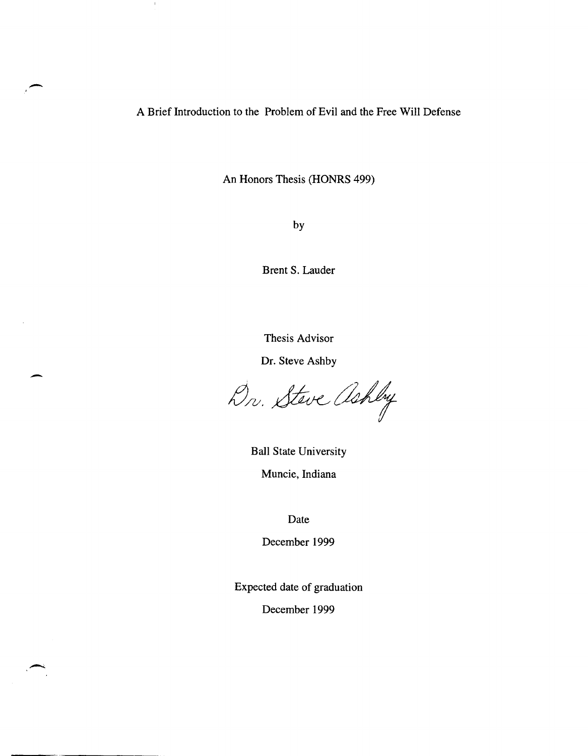# A Brief Introduction to the Problem of Evil and the Free Will Defense

 $\overline{\phantom{a}}$ 

 $\,$   $\,$ 

-

-

An Honors Thesis (HONRS 499)

by

Brent S. Lauder

Thesis Advisor

Dr. Steve Ashby

Dr. Steve ashly

Ball State University Muncie, Indiana

Date

December 1999

Expected date of graduation December 1999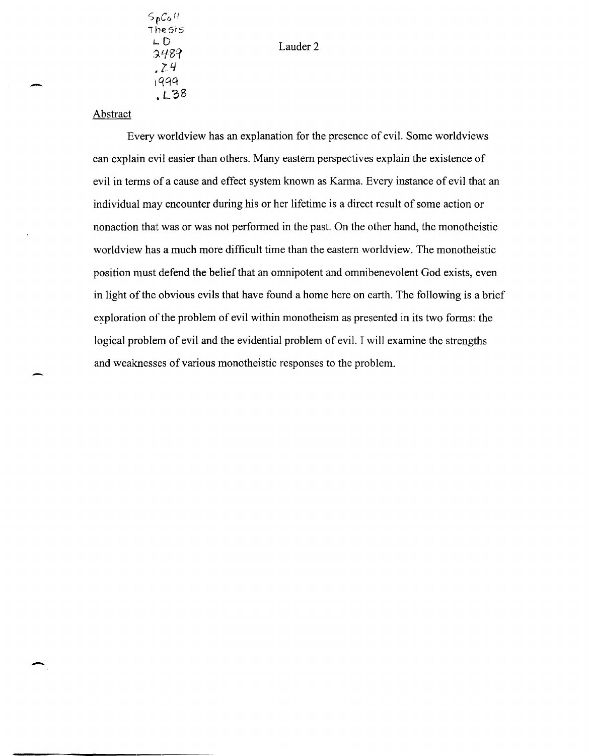$5pCo$ <sup>11</sup> Thesis  $L<sub>D</sub>$ *:i..'IZq*  ,7.4 1999 .L'38

# Lauder 2

## **Abstract**

-

. -

÷,

-

Every worldview has an explanation for the presence of evil. Some worldviews can explain evil easier than others. Many eastern perspectives explain the existence of evil in terms of a cause and effect system known as Karma. Every instance of evil that an individual may encounter during his or her lifetime is a direct result of some action or nonaction that was or was not performed in the past. On the other hand, the monotheistic worldview has a much more difficult time than the eastern worldview. The monotheistic position must defend the belief that an omnipotent and omnibenevolent God exists, even in light of the obvious evils that have found a home here on earth. The following is a brief exploration of the problem of evil within monotheism as presented in its two forms: the logical problem of evil and the evidential problem of evil. I will examine the strengths and weaknesses of various monotheistic responses to the problem .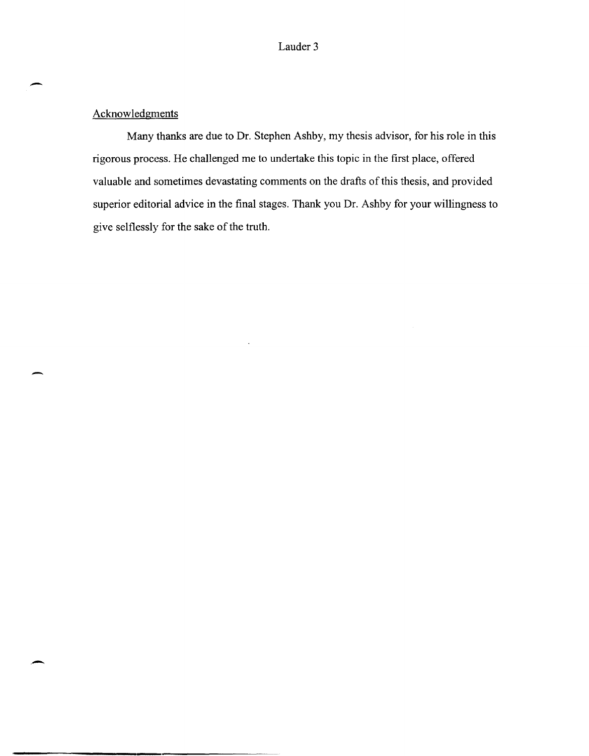# Acknowledgments

-

-

.-

Many thanks are due to Dr. Stephen Ashby, my thesis advisor, for his role in this rigorous process. He challenged me to undertake this topic in the first place, offered valuable and sometimes devastating comments on the drafts of this thesis, and provided superior editorial advice in the final stages. Thank you Dr. Ashby for your willingness to give selflessly for the sake of the truth.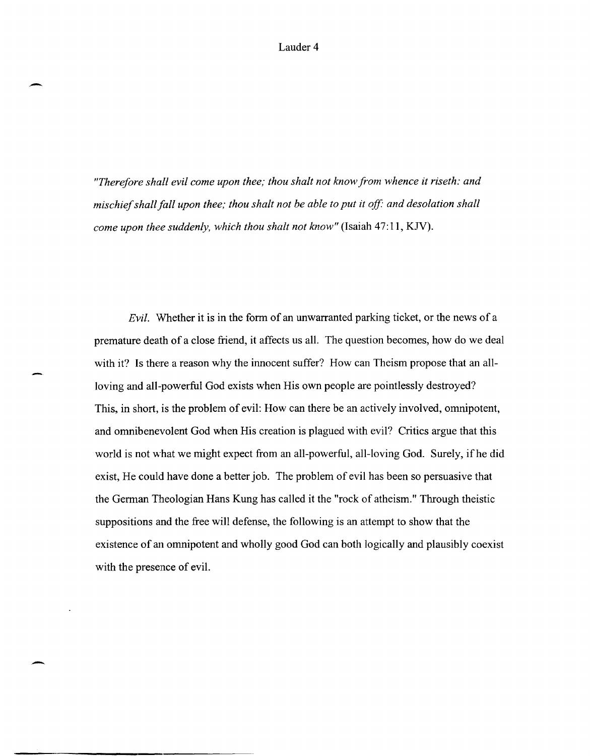.-

-

-

*"Therefore shall evil come upon thee; thou shalt not know from whence* it *riseth: and mischief shall fall upon thee; thou shalt not be able to put it off: and desolation shall come upon thee suddenly, which thou shalt not know"* (Isaiah 47:11, KJV).

*Evil.* Whether it is in the form of an unwarranted parking ticket, or the news of a premature death of a close friend, it affects us all. The question becomes, how do we deal with it? Is there a reason why the innocent suffer? How can Theism propose that an allloving and all-powerful God exists when His own people are pointlessly destroyed? This, in short, is the problem of evil: How can there be an actively involved, omnipotent, and omnibenevolent God when His creation is plagued with evil? Critics argue that this world is not what we might expect from an all-powerful, all-loving God. Surely, ifhe did exist, He could have done a better job. The problem of evil has been so persuasive that the German Theologian Hans Kung has called it the "rock of atheism." Through theistic suppositions and the free will defense, the following is an attempt to show that the existence of an omnipotent and wholly good God can both logically and plausibly coexist with the presence of evil.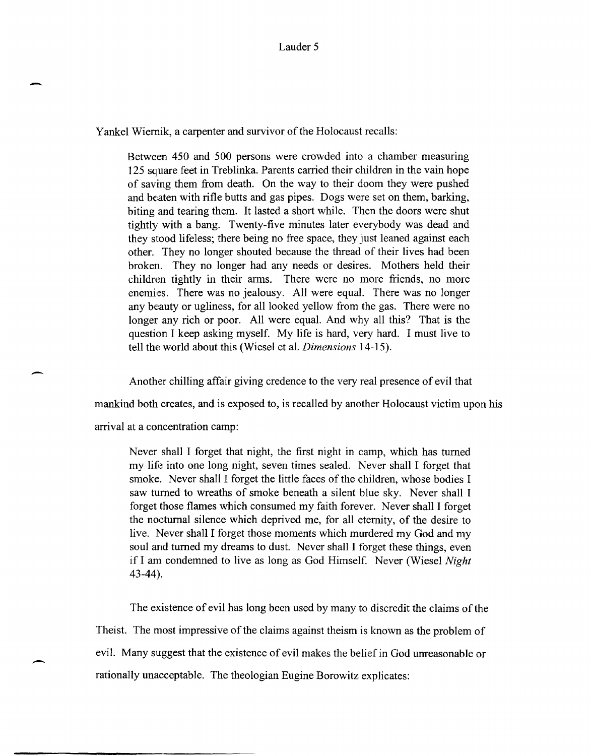Yankel Wiemik, a carpenter and survivor of the Holocaust recalls:

Between 450 and 500 persons were crowded into a chamber measuring 125 square feet in Treblinka. Parents carried their children in the vain hope of saving them from death. On the way to their doom they were pushed and beaten with rifle butts and gas pipes. Dogs were set on them, barking, biting and tearing them. It lasted a short while. Then the doors were shut tightly with a bang. Twenty-five minutes later everybody was dead and they stood lifeless; there being no free space, they just leaned against each other. They no longer shouted because the thread of their lives had been broken. They no longer had any needs or desires. Mothers held their children tightly in their arms. There were no more friends, no more enemies. There was no jealousy. All were equal. There was no longer any beauty or ugliness, for all looked yellow from the gas. There were no longer any rich or poor. All were equal. And why all this? That is the question I keep asking myself. My life is hard, very hard. I must live to tell the world about this (Wiesel et al. *Dimensions 14-15).* 

Another chilling affair giving credence to the very real presence of evil that

mankind both creates, and is exposed to, is recalled by another Holocaust victim upon his

arrival at a concentration camp:

-

-

Never shall I forget that night, the first night in camp, which has turned my life into one long night, seven times sealed. Never shall I forget that smoke. Never shall I forget the little faces of the children, whose bodies I saw turned to wreaths of smoke beneath a silent blue sky. Never shall I forget those flames which consumed my faith forever. Never shall I forget the nocturnal silence which deprived me, for all eternity, of the desire to live. Never shall I forget those moments which murdered my God and my soul and turned my dreams to dust. Never shall I forget these things, even if I am condemned to live as long as God Himself. Never (Wiesel *Night*  43-44).

The existence of evil has long been used by many to discredit the claims of the Theist. The most impressive of the claims against theism is known as the problem of evil. Many suggest that the existence of evil makes the belief in God unreasonable or rationally unacceptable. The theologian Eugine Borowitz explicates: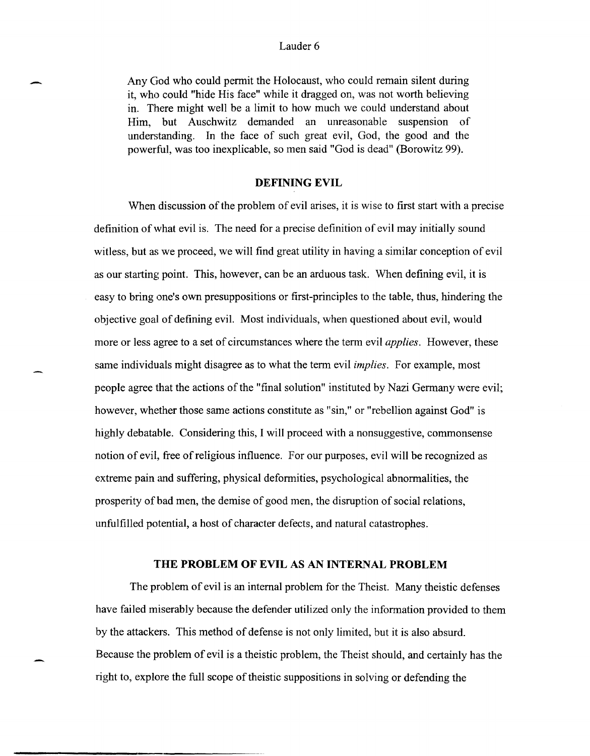Any God who could permit the Holocaust, who could remain silent during it, who could "hide His face" while it dragged on, was not worth believing in. There might well be a limit to how much we could understand about Him, but Auschwitz demanded an unreasonable suspension of understanding. In the face of such great evil, God, the good and the powerful, was too inexplicable, so men said "God is dead" (Borowitz 99).

-

## **DEFINING EVIL**

When discussion of the problem of evil arises, it is wise to first start with a precise definition of what evil is. The need for a precise definition of evil may initially sound witless, but as we proceed, we will find great utility in having a similar conception of evil as our starting point. This, however, can be an arduous task. When defining evil, it is easy to bring one's own presuppositions or first-principles to the table, thus, hindering the objective goal of defining evil. Most individuals, when questioned about evil, would more or less agree to a set of circumstances where the term evil *applies.* However, these same individuals might disagree as to what the term evil *implies.* For example, most people agree that the actions of the "final solution" instituted by Nazi Germany were evil; however, whether those same actions constitute as "sin," or "rebellion against God" is highly debatable. Considering this, I will proceed with a nonsuggestive, commonsense notion of evil, free of religious influence. For our purposes, evil will be recognized as extreme pain and suffering, physical deformities, psychological abnormalities, the prosperity of bad men, the demise of good men, the disruption of social relations, unfulfilled potential, a host of character defects, and natural catastrophes.

## **THE PROBLEM OF EVIL** AS AN **INTERNAL PROBLEM**

The problem of evil is an internal problem for the Theist. Many theistic defenses have failed miserably because the defender utilized only the information provided to them by the attackers. This method of defense is not only limited, but it is also absurd. Because the problem of evil is a theistic problem, the Theist should, and certainly has the right to, explore the full scope of theistic suppositions in solving or defending the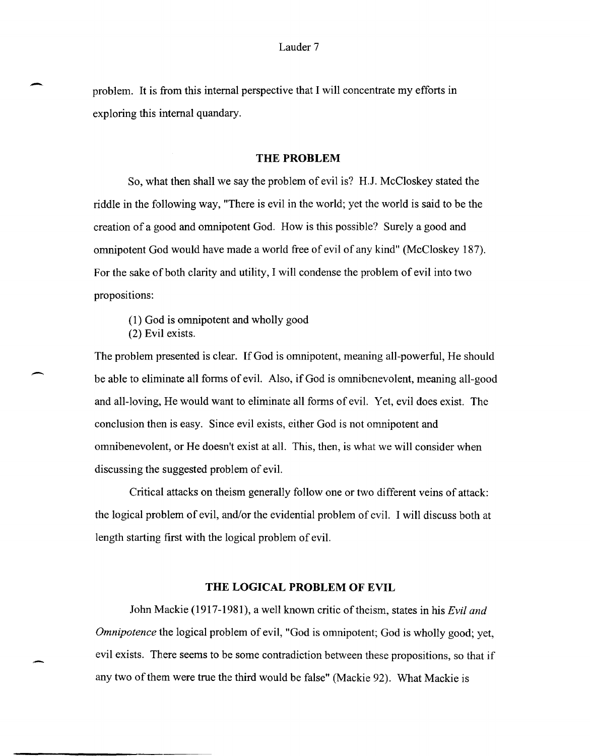problem. It is from this internal perspective that I will concentrate my efforts in exploring this internal quandary.

#### THE PROBLEM

So, what then shall we say the problem of evil is? H.J. McCloskey stated the riddle in the following way, "There is evil in the world; yet the world is said to be the creation of a good and omnipotent God. How is this possible? Surely a good and omnipotent God would have made a world free of evil of any kind" (McCloskey 187). For the sake of both clarity and utility, I will condense the problem of evil into two propositions:

(1) God is omnipotent and wholly good

(2) Evil exists.

-

-

The problem presented is clear. If God is omnipotent, meaning all-powerful, He should be able to eliminate all forms of evil. Also, if God is omnibenevolent, meaning all-good and all-loving, He would want to eliminate all forms of evil. Yet, evil does exist. The conclusion then is easy. Since evil exists, either God is not omnipotent and omnibenevolent, or He doesn't exist at all. This, then, is what we will consider when discussing the suggested problem of evil.

Critical attacks on theism generally follow one or two different veins of attack: the logical problem of evil, and/or the evidential problem of evil. I will discuss both at length starting first with the logical problem of evil.

# **THE LOGICAL PROBLEM OF EVIL**

John Mackie (1917-1981), a well known critic of theism, states in his *Evil and Omnipotence* the logical problem of evil, "God is omnipotent; God is wholly good; yet, evil exists. There seems to be some contradiction between these propositions, so that if any two of them were true the third would be false" (Mackie 92). What Mackie is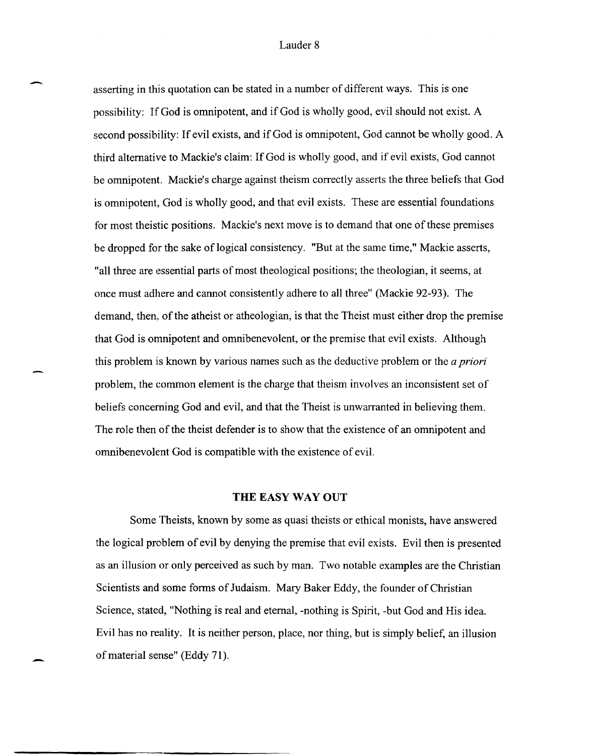-

-

asserting in this quotation can be stated in a number of different ways. This is one possibility: If God is omnipotent, and if God is wholly good, evil should not exist. A second possibility: If evil exists, and if God is omnipotent, God cannot be wholly good. A third alternative to Mackie's claim: If God is wholly good, and if evil exists, God cannot be omnipotent. Mackie's charge against theism correctly asserts the three beliefs that God is omnipotent, God is wholly good, and that evil exists. These are essential foundations for most theistic positions. Mackie's next move is to demand that one of these premises be dropped for the sake of logical consistency. "But at the same time," Mackie asserts, "all three are essential parts of most theological positions; the theologian, it seems, at once must adhere and cannot consistently adhere to all three" (Mackie 92-93). The demand, then, of the atheist or atheologian, is that the Theist must either drop the premise that God is omnipotent and omnibenevolent, or the premise that evil exists. Although this problem is known by various names such as the deductive problem or the *a priori*  problem, the common element is the charge that theism involves an inconsistent set of beliefs concerning God and evil, and that the Theist is unwarranted in believing them. The role then of the theist defender is to show that the existence of an omnipotent and omnibenevolent God is compatible with the existence of evil.

## **THE** EASY WAY OUT

Some Theists, known by some as quasi theists or ethical monists, have answered the logical problem of evil by denying the premise that evil exists. Evil then is presented as an illusion or only perceived as such by man. Two notable examples are the Christian Scientists and some forms of Judaism. Mary Baker Eddy, the founder of Christian Science, stated, "Nothing is real and eternal, -nothing is Spirit, -but God and His idea. Evil has no reality. It is neither person, place, nor thing, but is simply belief, an illusion of material sense" (Eddy 71).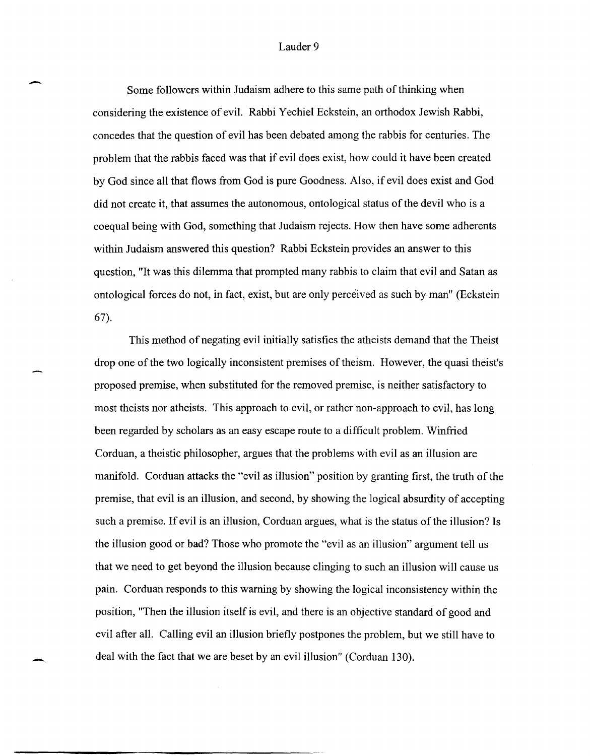-

-.

Some followers within Judaism adhere to this same path of thinking when considering the existence of evil. Rabbi Yechiel Eckstein, an orthodox Jewish Rabbi, concedes that the question of evil has been debated among the rabbis for centuries. The problem that the rabbis faced was that if evil does exist, how could it have been created by God since all that flows from God is pure Goodness. Also, if evil does exist and God did not create it, that assumes the autonomous, ontological status of the devil who is a coequal being with God, something that Judaism rejects. How then have some adherents within Judaism answered this question? Rabbi Eckstein provides an answer to this question, "It was this dilemma that prompted many rabbis to claim that evil and Satan as ontological forces do not, in fact, exist, but are only perceived as such by man" (Eckstein 67).

This method of negating evil initially satisfies the atheists demand that the Theist drop one of the two logically inconsistent premises of theism. However, the quasi theist's proposed premise, when substituted for the removed premise, is neither satisfactory to most theists nor atheists. This approach to evil, or rather non-approach to evil, has long been regarded by scholars as an easy escape route to a difficult problem. Winfried Corduan, a theistic philosopher, argues that the problems with evil as an illusion are manifold. Corduan attacks the "evil as illusion" position by granting first, the truth of the premise, that evil is an illusion, and second, by showing the logical absurdity of accepting such a premise. If evil is an illusion, Corduan argues, what is the status of the illusion? Is the illusion good or bad? Those who promote the "evil as an illusion" argument tell us that we need to get beyond the illusion because clinging to such an illusion will cause us pain. Corduan responds to this warning by showing the logical inconsistency within the position, "Then the illusion itself is evil, and there is an objective standard of good and evil after all. Calling evil an illusion briefly postpones the problem, but we still have to deal with the fact that we are beset by an evil illusion" (Corduan 130).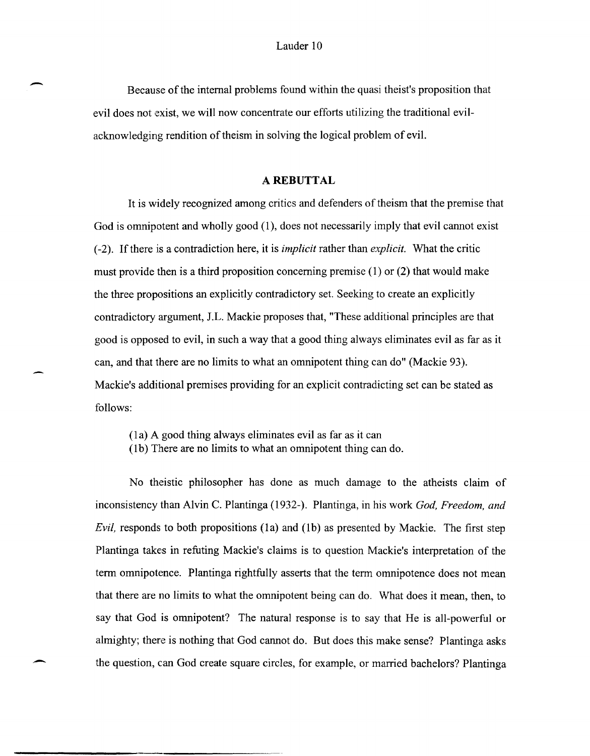Because of the internal problems found within the quasi theist's proposition that evil does not exist, we will now concentrate our efforts utilizing the traditional evilacknowledging rendition of theism in solving the logical problem of evil.

-

-

## A REBUTTAL

It is widely recognized among critics and defenders of theism that the premise that God is omnipotent and wholly good (1), does not necessarily imply that evil cannot exist (-2). If there is a contradiction here, it is *implicit* rather than *explicit.* What the critic must provide then is a third proposition concerning premise (1) or (2) that would make the three propositions an explicitly contradictory set. Seeking to create an explicitly contradictory argument, lL. Mackie proposes that, "These additional principles are that good is opposed to evil, in such a way that a good thing always eliminates evil as far as it can, and that there are no limits to what an omnipotent thing can do" (Mackie 93). Mackie's additional premises providing for an explicit contradicting set can be stated as follows:

- (la) A good thing always eliminates evil as far as it can
- (lb) There are no limits to what an omnipotent thing can do.

No theistic philosopher has done as much damage to the atheists claim of inconsistency than Alvin C. Plantinga (1932-). Plantinga, in his work *God, Freedom, and Evil*, responds to both propositions (1a) and (1b) as presented by Mackie. The first step Plantinga takes in refuting Mackie's claims is to question Mackie's interpretation of the term omnipotence. Plantinga rightfully asserts that the term omnipotence does not mean that there are no limits to what the omnipotent being can do. What does it mean, then, to say that God is omnipotent? The natural response is to say that He is all-powerful or almighty; there is nothing that God cannot do. But does this make sense? Plantinga asks the question, can God create square circles, for example, or married bachelors? Plantinga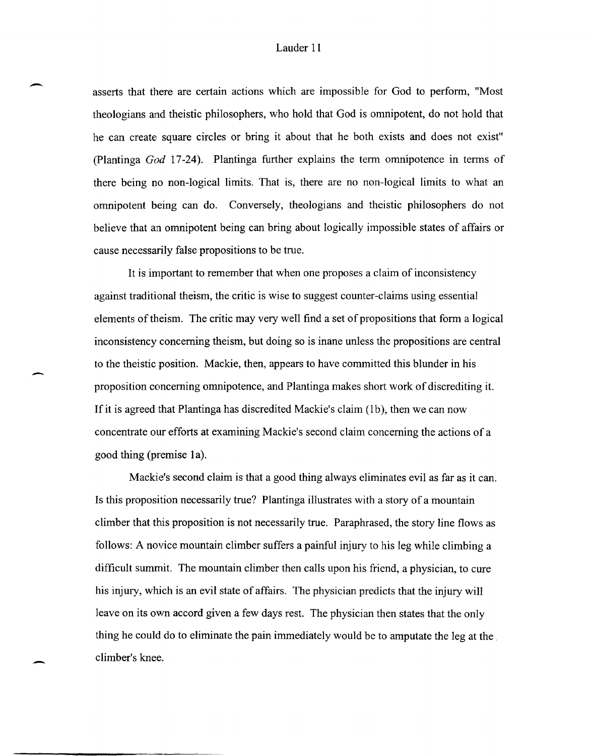asserts that there are certain actions which are impossible for God to perform, "Most theologians and theistic philosophers, who hold that God is omnipotent, do not hold that he can create square circles or bring it about that he both exists and does not exist" (plantinga *God* 17-24). Plantinga further explains the term omnipotence in terms of there being no non-logical limits. That is, there are no non-logical limits to what an omnipotent being can do. Conversely, theologians and theistic philosophers do not believe that an omnipotent being can bring about logically impossible states of affairs or cause necessarily false propositions to be true.

It is important to remember that when one proposes a claim of inconsistency against traditional theism, the critic is wise to suggest counter-claims using essential elements oftheism. The critic may very well find a set of propositions that form a logical inconsistency concerning theism, but doing so is inane unless the propositions are central to the theistic position. Mackie, then, appears to have committed this blunder in his proposition concerning omnipotence, and Plantinga makes short work of discrediting it. If it is agreed that Plantinga has discredited Mackie's claim (1b), then we can now concentrate our efforts at examining Mackie's second claim concerning the actions of a good thing (premise la).

Mackie's second claim is that a good thing always eliminates evil as far as it can. Is this proposition necessarily true? Plantinga illustrates with a story of a mountain climber that this proposition is not necessarily true. Paraphrased, the story line flows as follows: A novice mountain climber suffers a painful injury to his leg while climbing a difficult summit. The mountain climber then calls upon his friend, a physician, to cure his injury, which is an evil state of affairs. The physician predicts that the injury will leave on its own accord given a few days rest. The physician then states that the only thing he could do to eliminate the pain immediately would be to amputate the leg at the. climber's knee.

-

-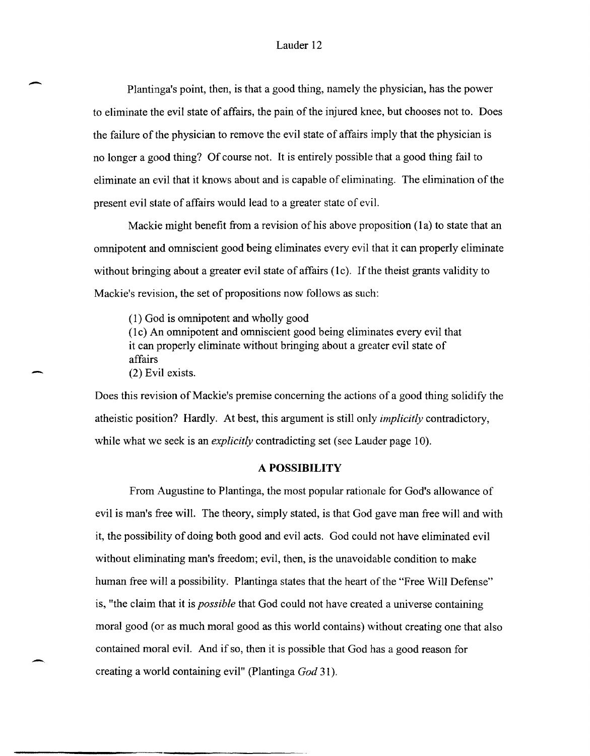-

-

-

Plantinga's point, then, is that a good thing, namely the physician, has the power to eliminate the evil state of affairs, the pain of the injured knee, but chooses not to. Does the failure of the physician to remove the evil state of affairs imply that the physician is no longer a good thing? Of course not. It is entirely possible that a good thing fail to eliminate an evil that it knows about and is capable of eliminating. The elimination of the present evil state of affairs would lead to a greater state of evil.

Mackie might benefit from a revision of his above proposition (Ia) to state that an omnipotent and omniscient good being eliminates every evil that it can properly eliminate without bringing about a greater evil state of affairs  $(1c)$ . If the theist grants validity to Mackie's revision, the set of propositions now follows as such:

(1) God is omnipotent and wholly good (Ic) An omnipotent and omniscient good being eliminates every evil that it can properly eliminate without bringing about a greater evil state of affairs (2) Evil exists.

Does this revision of Mackie's premise concerning the actions of a good thing solidify the atheistic position? Hardly. At best, this argument is still only *implicitly* contradictory, while what we seek is an *explicitly* contradicting set (see Lauder page 10).

#### A **POSSIBILITY**

From Augustine to Plantinga, the most popular rationale for God's allowance of evil is man's free will. The theory, simply stated, is that God gave man free will and with it, the possibility of doing both good and evil acts. God could not have eliminated evil without eliminating man's freedom; evil, then, is the unavoidable condition to make human free will a possibility. Plantinga states that the heart of the "Free Will Defense" is, "the claim that it is *possible* that God could not have created a universe containing moral good (or as much moral good as this world contains) without creating one that also contained moral evil. And if so, then it is possible that God has a good reason for creating a world containing evil" (Plantinga *God 31).*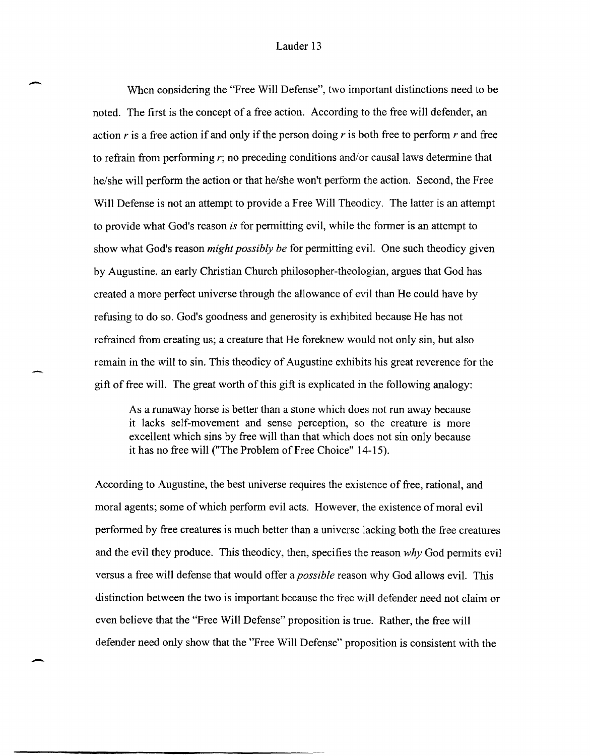-

-

When considering the "Free Will Defense", two important distinctions need to be noted. The first is the concept of a free action. According to the free will defender, an action  $r$  is a free action if and only if the person doing  $r$  is both free to perform  $r$  and free to refrain from performing *r;* no preceding conditions and/or causal laws determine that he/she will perform the action or that he/she won't perform the action. Second, the Free Will Defense is not an attempt to provide a Free Will Theodicy. The latter is an attempt to provide what God's reason *is* for permitting evil, while the former is an attempt to show what God's reason *might possibly be* for permitting evil. One such theodicy given by Augustine, an early Christian Church philosopher-theologian, argues that God has created a more perfect universe through the allowance of evil than He could have by refusing to do so. God's goodness and generosity is exhibited because He has not refrained from creating us; a creature that He foreknew would not only sin, but also remain in the will to sin. This theodicy of Augustine exhibits his great reverence for the gift of free will. The great worth of this gift is explicated in the following analogy:

As a nmaway horse is better than a stone which does not run away because it lacks self-movement and sense perception, so the creature is more excellent which sins by free will than that which does not sin only because it has no free will ("The Problem of Free Choice" 14-15).

According to Augustine, the best universe requires the existence of free, rational, and moral agents; some of which perform evil acts. However, the existence of moral evil performed by free creatures is much better than a universe lacking both the free creatures and the evil they produce. This theodicy, then, specifies the reason *why* God permits evil versus a free will defense that would offer a *possible* reason why God allows evil. This distinction between the two is important because the free will defender need not claim or even believe that the "Free Will Defense" proposition is true. Rather, the free will defender need only show that the "Free Will Defense" proposition is consistent with the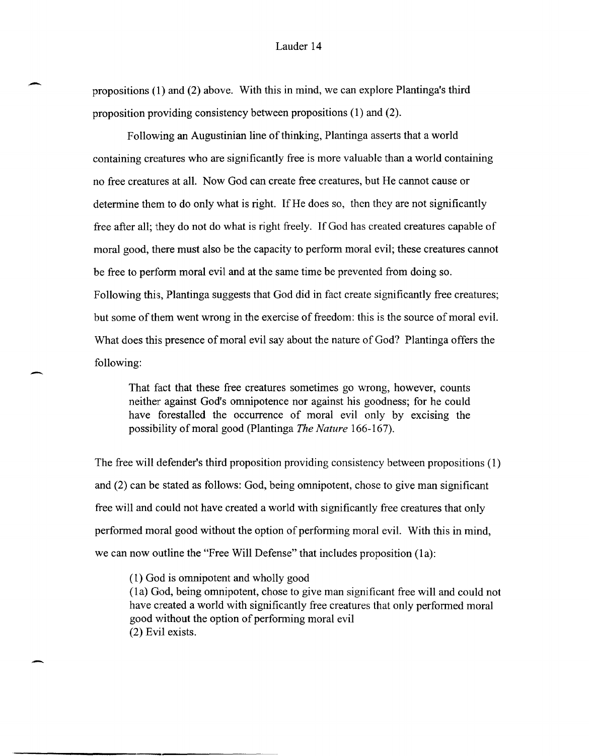propositions (1) and (2) above. With this in mind, we can explore Plantinga's third proposition providing consistency between propositions (1) and (2).

-

-

Following an Augustinian line of thinking, Plantinga asserts that a world containing creatures who are significantly free is more valuable than a world containing no free creatures at all. Now God can create free creatures, but He cannot cause or determine them to do only what is right. If He does so, then they are not significantly free after all; they do not do what is right freely. If God has created creatures capable of moral good, there must also be the capacity to perform moral evil; these creatures cannot be free to perform moral evil and at the same time be prevented from doing so. Following this, Plantinga suggests that God did in fact create significantly free creatures; but some of them went wrong in the exercise of freedom: this is the source of moral evil. What does this presence of moral evil say about the nature of God? Plantinga offers the following:

That fact that these free creatures sometimes go wrong, however, counts neither against God's omnipotence nor against his goodness; for he could have forestalled the occurrence of moral evil only by excising the possibility of moral good (Plantinga *The Nature 166-167).* 

The free will defender's third proposition providing consistency between propositions (1) and (2) can be stated as follows: God, being omnipotent, chose to give man significant free will and could not have created a world with significantly free creatures that only performed moral good without the option of performing moral evil. With this in mind, we can now outline the "Free Will Defense" that includes proposition (1a):

(1) God is omnipotent and wholly good

(la) God, being omnipotent, chose to give man significant free will and could not have created a world with significantly free creatures that only performed moral good without the option of performing moral evil (2) Evil exists.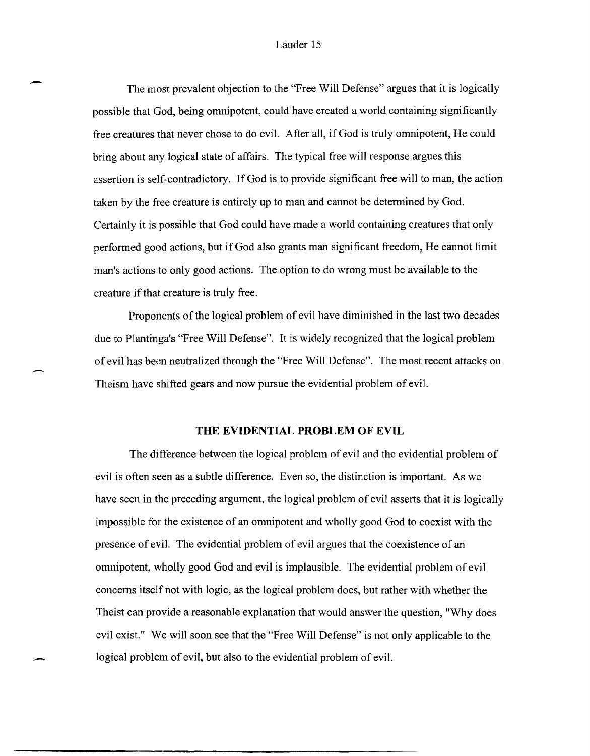-

The most prevalent objection to the "Free Will Defense" argues that it is logically possible that God, being omnipotent, could have created a world containing significantly free creatures that never chose to do evil. After all, if God is truly omnipotent, He could bring about any logical state of affairs. The typical free will response argues this assertion is self-contradictory. If God is to provide significant free will to man, the action taken by the free creature is entirely up to man and cannot be determined by God. Certainly it is possible that God could have made a world containing creatures that only performed good actions, but if God also grants man significant freedom, He cannot limit man's actions to only good actions. The option to do wrong must be available to the creature if that creature is truly free.

Proponents of the logical problem of evil have diminished in the last two decades due to Plantinga's "Free Will Defense". It is widely recognized that the logical problem of evil has been neutralized through the "Free Will Defense". The most recent attacks on Theism have shifted gears and now pursue the evidential problem of evil.

#### **THE EVIDENTIAL PROBLEM OF EVIL**

The difference between the logical problem of evil and the evidential problem of evil is often seen as a subtle difference. Even so, the distinction is important. As we have seen in the preceding argument, the logical problem of evil asserts that it is logically impossible for the existence of an omnipotent and wholly good God to coexist with the presence of evil. The evidential problem of evil argues that the coexistence of an omnipotent, wholly good God and evil is implausible. The evidential problem of evil concerns itself not with logic, as the logical problem does, but rather with whether the Theist can provide a reasonable explanation that would answer the question, "Why does evil exist." We will soon see that the "Free Will Defense" is not only applicable to the logical problem of evil, but also to the evidential problem of evil.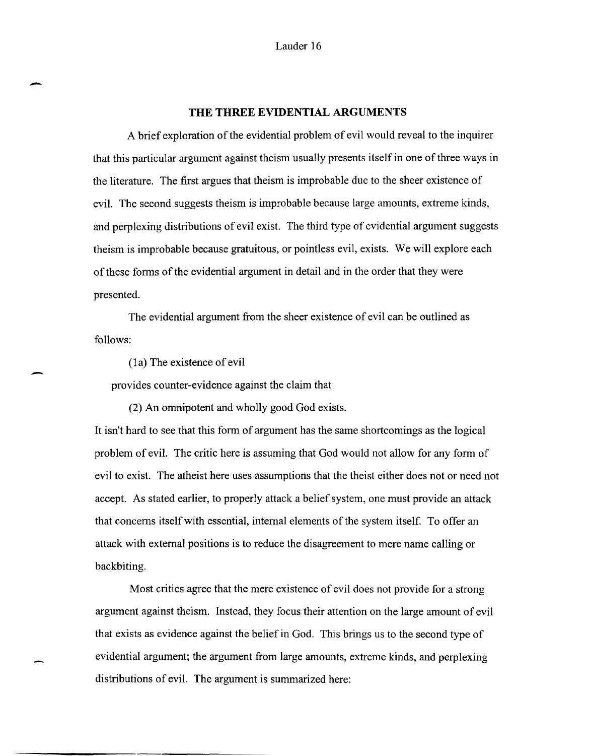## **THE THREE EVIDENTIAL ARGUMENTS**

A brief exploration of the evidential problem of evil would reveal to the inquirer that this particular argument against theism usually presents itself in one of three ways in the literature. The first argues that theism is improbable due to the sheer existence of evil. The second suggests theism is improbable because large amounts, extreme kinds, and perplexing distributions of evil exist. The third type of evidential argument suggests theism is improbable because gratuitous, or pointless evil, exists. We will explore each of these forms of the evidential argument in detail and in the order that they were presented.

The evidential argument from the sheer existence of evil can be outlined as follows:

(la) The existence of evil

-

-

provides counter-evidence against the claim that

(2) An omnipotent and wholly good God exists.

It isn't hard to see that this form of argument has the same shortcomings as the logical problem of evil. The critic here is assuming that God would not allow for any form of evil to exist. The atheist here uses assumptions that the theist either does not or need not accept. As stated earlier, to properly attack a belief system, one must provide an attack that concerns itself with essential, internal elements of the system itself. To offer an attack with external positions is to reduce the disagreement to mere name calling or backbiting.

Most critics agree that the mere existence of evil does not provide for a strong argument against theism. Instead, they focus their attention on the large amount of evil that exists as evidence against the belief in God. This brings us to the second type of evidential argument; the argument from large amounts, extreme kinds, and perplexing distributions of evil. The argument is summarized here: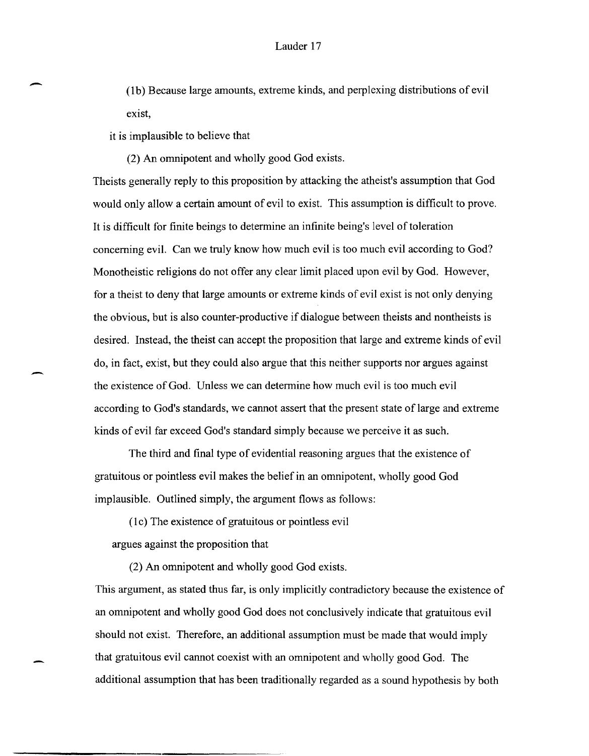(1 b) Because large amounts, extreme kinds, and perplexing distributions of evil exist,

it is implausible to believe that

-

-

(2) An omnipotent and wholly good God exists.

Theists generally reply to this proposition by attacking the atheist's assumption that God would only allow a certain amount of evil to exist. This assumption is difficult to prove. It is difficult for finite beings to determine an infinite being's level of toleration concerning evil. Can we truly know how much evil is too much evil according to God? Monotheistic religions do not offer any clear limit placed upon evil by God. However, for a theist to deny that large amounts or extreme kinds of evil exist is not only denying the obvious, but is also counter-productive if dialogue between theists and nontheists is desired. Instead, the theist can accept the proposition that large and extreme kinds of evil do, in fact, exist, but they could also argue that this neither supports nor argues against the existence of God. Unless we can determine how much evil is too much evil according to God's standards, we cannot assert that the present state of large and extreme kinds of evil far exceed God's standard simply because we perceive it as such.

The third and final type of evidential reasoning argues that the existence of gratuitous or pointless evil makes the belief in an omnipotent, wholly good God implausible. Outlined simply, the argument flows as follows:

(1c) The existence of gratuitous or pointless evil argues against the proposition that

(2) An omnipotent and wholly good God exists.

This argument, as stated thus far, is only implicitly contradictory because the existence of an omnipotent and wholly good God does not conclusively indicate that gratuitous evil should not exist. Therefore, an additional assumption must be made that would imply that gratuitous evil cannot coexist with an omnipotent and wholly good God. The additional assumption that has been traditionally regarded as a sound hypothesis by both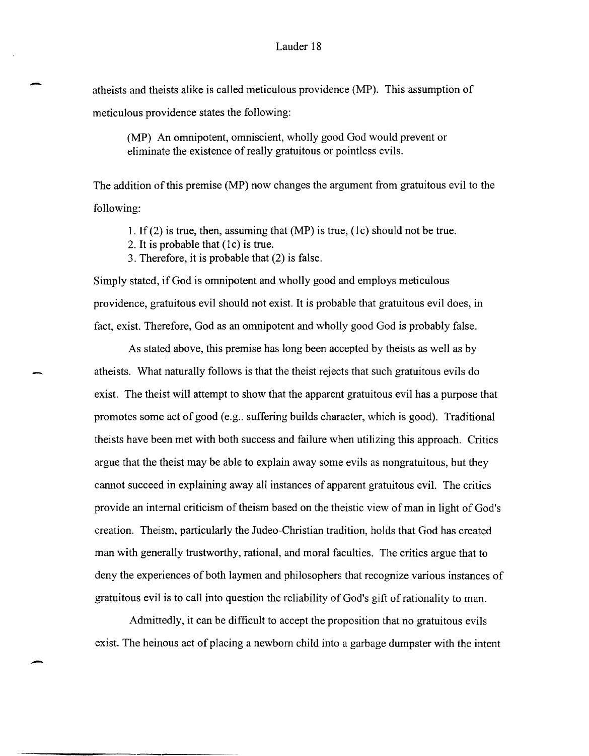atheists and theists alike is called meticulous providence (MP). This assumption of meticulous providence states the following:

(MP) An omnipotent, omniscient, wholly good God would prevent or eliminate the existence of really gratuitous or pointless evils.

The addition of this premise (MP) now changes the argument from gratuitous evil to the following:

1. If (2) is true, then, assuming that  $(MP)$  is true, (1c) should not be true.

2. It is probable that (Ic) is true.

-

-

3. Therefore, it is probable that (2) is false.

Simply stated, if God is omnipotent and wholly good and employs meticulous providence, gratuitous evil should not exist. It is probable that gratuitous evil does, in fact, exist. Therefore, God as an omnipotent and wholly good God is probably false.

As stated above, this premise has long been accepted by theists as well as by atheists. What naturally follows is that the theist rejects that such gratuitous evils do exist. The theist will attempt to show that the apparent gratuitous evil has a purpose that promotes some act of good (e.g .. suffering builds character, which is good). Traditional theists have been met with both success and failure when utilizing this approach. Critics argue that the theist may be able to explain away some evils as nongratuitous, but they cannot succeed in explaining away all instances of apparent gratuitous evil. The critics provide an internal criticism of theism based on the theistic view of man in light of God's creation. Theism, particularly the Judeo-Christian tradition, holds that God has created man with generally trustworthy, rational, and moral faculties. The critics argue that to deny the experiences of both laymen and philosophers that recognize various instances of gratuitous evil is to call into question the reliability of God's gift of rationality to man.

Admittedly, it can be difficult to accept the proposition that no gratuitous evils exist. The heinous act of placing a newborn child into a garbage dumpster with the intent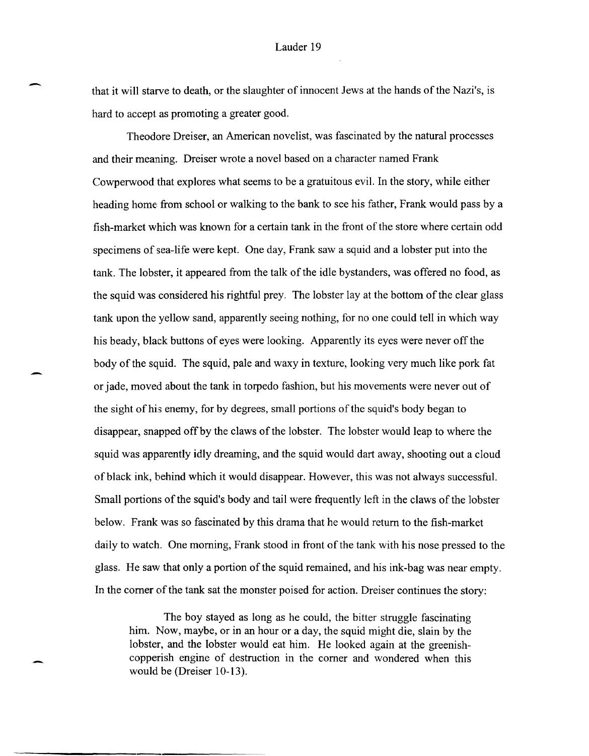that it will starve to death, or the slaughter of innocent Jews at the hands of the Nazi's, is hard to accept as promoting a greater good.

-

-

Theodore Dreiser, an American novelist, was fascinated by the natural processes and their meaning. Dreiser wrote a novel based on a character named Frank Cowperwood that explores what seems to be a gratuitous evil. In the story, while either heading home from school or walking to the bank to see his father, Frank would pass by a fish-market which was known for a certain tank in the front of the store where certain odd specimens of sea-life were kept. One day, Frank saw a squid and a lobster put into the tank. The lobster, it appeared from the talk of the idle bystanders, was offered no food, as the squid was considered his rightful prey. The lobster lay at the bottom of the clear glass tank upon the yellow sand, apparently seeing nothing, for no one could tell in which way his beady, black buttons of eyes were looking. Apparently its eyes were never off the body of the squid. The squid, pale and waxy in texture, looking very much like pork fat or jade, moved about the tank in torpedo fashion, but his movements were never out of the sight of his enemy, for by degrees, small portions of the squid's body began to disappear, snapped off by the claws of the lobster. The lobster would leap to where the squid was apparently idly dreaming, and the squid would dart away, shooting out a cloud of black ink, behind which it would disappear. However, this was not always successful. Small portions of the squid's body and tail were frequently left in the claws of the lobster below. Frank was so fascinated by this drama that he would return to the fish-market daily to watch. One morning, Frank stood in front of the tank with his nose pressed to the glass. He saw that only a portion of the squid remained, and his ink-bag was near empty. In the corner of the tank sat the monster poised for action. Dreiser continues the story:

The boy stayed as long as he could, the bitter struggle fascinating him. Now, maybe, or in an hour or a day, the squid might die, slain by the lobster, and the lobster would eat him. He looked again at the greenishcopperish engine of destruction in the corner and wondered when this would be (Dreiser 10-13).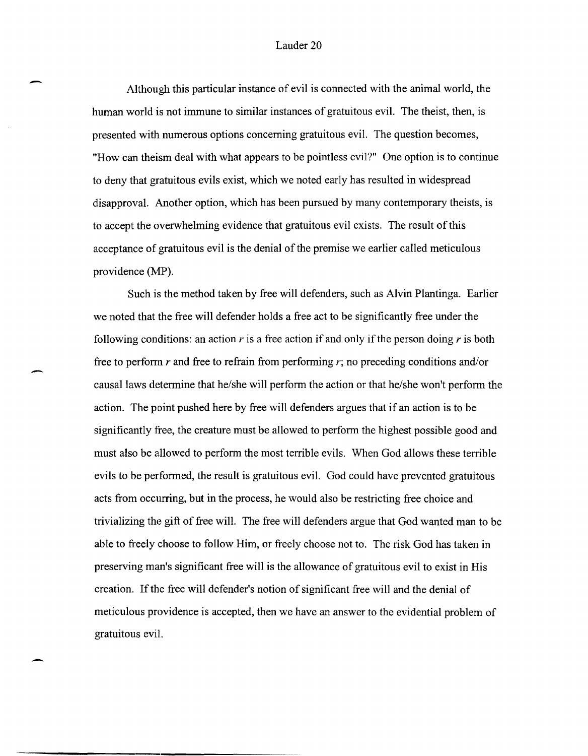-

-

Although this particular instance of evil is connected with the animal world, the human world is not immune to similar instances of gratuitous evil. The theist, then, is presented with numerous options concerning gratuitous evil. The question becomes, "How can theism deal with what appears to be pointless evil?" One option is to continue to deny that gratuitous evils exist, which we noted early has resulted in widespread disapproval. Another option, which has been pursued by many contemporary theists, is to accept the overwhelming evidence that gratuitous evil exists. The result of this acceptance of gratuitous evil is the denial of the premise we earlier called meticulous providence (MP).

Such is the method taken by free will defenders, such as Alvin Plantinga. Earlier we noted that the free will defender holds a free act to be significantly free under the following conditions: an action *r* is a free action if and only if the person doing *r* is both free to perform *r* and free to refrain from performing *r;* no preceding conditions and/or causal laws determine that he/she will perform the action or that he/she won't perform the action. The point pushed here by free will defenders argues that if an action is to be significantly free, the creature must be allowed to perform the highest possible good and must also be allowed to perform the most terrible evils. When God allows these terrible evils to be performed, the result is gratuitous evil. God could have prevented gratuitous acts from occurring, but in the process, he would also be restricting free choice and trivializing the gift of free will. The free will defenders argue that God wanted man to be able to freely choose to follow Him, or freely choose not to. The risk God has taken in preserving man's significant free will is the allowance of gratuitous evil to exist in His creation. If the free will defender's notion of significant free will and the denial of meticulous providence is accepted, then we have an answer to the evidential problem of gratuitous evil.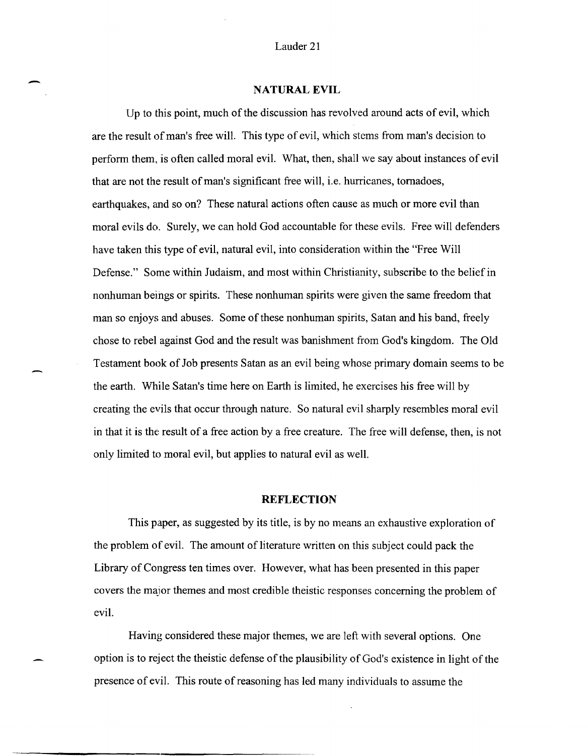#### **NATURAL EVIL**

-

Up to this point, much of the discussion has revolved around acts of evil, which are the result of man's free will. This type of evil, which stems from man's decision to perform them, is often called moral evil. What, then, shall we say about instances of evil that are not the result of man's significant free will, i.e. hurricanes, tornadoes, earthquakes, and so on? These natural actions often cause as much or more evil than moral evils do. Surely, we can hold God accountable for these evils. Free will defenders have taken this type of evil, natural evil, into consideration within the "Free Will Defense." Some within Judaism, and most within Christianity, subscribe to the belief in nonhuman beings or spirits. These nonhuman spirits were given the same freedom that man so enjoys and abuses. Some of these nonhuman spirits, Satan and his band, freely chose to rebel against God and the result was banishment from God's kingdom. The Old Testament book of Job presents Satan as an evil being whose primary domain seems to be the earth. While Satan's time here on Earth is limited, he exercises his free will by creating the evils that occur through nature. So natural evil sharply resembles moral evil in that it is the result of a free action by a free creature. The free will defense, then, is not only limited to moral evil, but applies to natural evil as well.

#### **REFLECTION**

This paper, as suggested by its title, is by no means an exhaustive exploration of the problem of evil. The amount of literature written on this subject could pack the Library of Congress ten times over. However, what has been presented in this paper covers the major themes and most credible theistic responses concerning the problem of evil.

Having considered these major themes, we are left with several options. One option is to reject the theistic defense of the plausibility of God's existence in light of the presence of evil. This route of reasoning has led many individuals to assume the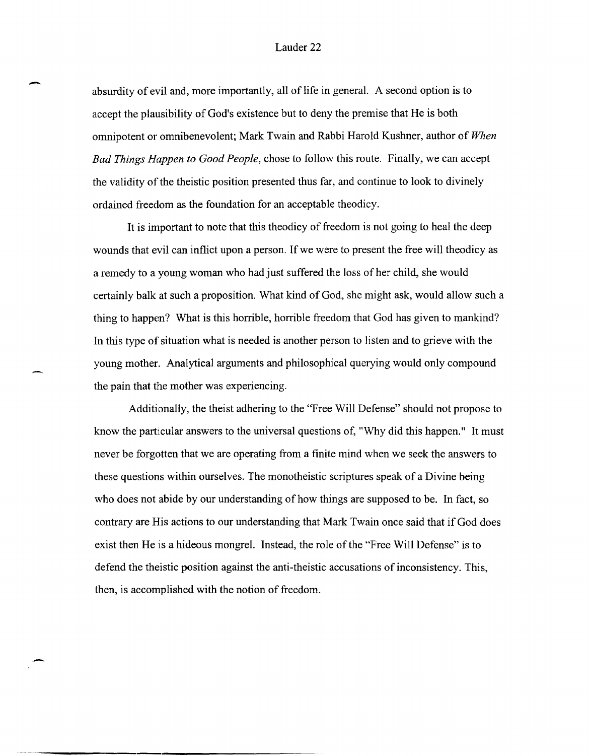-

absurdity of evil and, more importantly, all of life in general. A second option is to accept the plausibility of God's existence but to deny the premise that He is both omnipotent or omnibenevolent; Mark Twain and Rabbi Harold Kushner, author of *When Bad Things Happen to Good People,* chose to follow this route. Finally, we can accept the validity of the theistic position presented thus far, and continue to look to divinely ordained freedom as the foundation for an acceptable theodicy.

It is important to note that this theodicy of freedom is not going to heal the deep wounds that evil can inflict upon a person. If we were to present the free will theodicy as a remedy to a young woman who had just suffered the loss of her child, she would certainly balk at such a proposition. What kind of God, she might ask, would allow such a thing to happen? What is this horrible, horrible freedom that God has given to mankind? In this type of situation what is needed is another person to listen and to grieve with the young mother. Analytical arguments and philosophical querying would only compound the pain that the mother was experiencing.

Additionally, the theist adhering to the "Free Will Defense" should not propose to know the particular answers to the universal questions of, "Why did this happen." It must never be forgotten that we are operating from a finite mind when we seek the answers to these questions within ourselves. The monotheistic scriptures speak of a Divine being who does not abide by our understanding of how things are supposed to be. In fact, so contrary are His actions to our understanding that Mark Twain once said that if God does exist then He is a hideous mongrel. Instead, the role of the "Free Will Defense" is to defend the theistic position against the anti-theistic accusations of inconsistency. This, then, is accomplished with the notion of freedom.